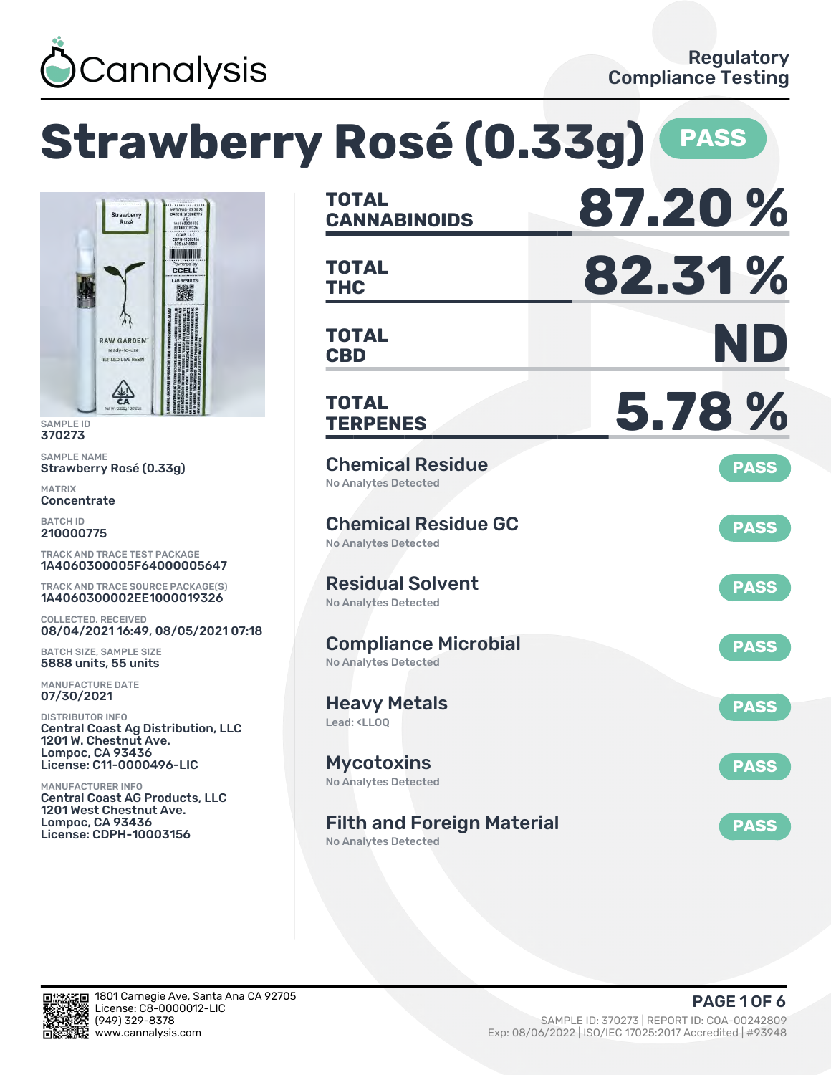

**Strawberry Rosé (0.33g) PASS**



SAMPLE ID 370273

SAMPLE NAME Strawberry Rosé (0.33g)

MATRIX **Concentrate** 

BATCH ID 210000775

TRACK AND TRACE TEST PACKAGE 1A4060300005F64000005647

TRACK AND TRACE SOURCE PACKAGE(S) 1A4060300002EE1000019326

COLLECTED, RECEIVED 08/04/2021 16:49, 08/05/2021 07:18

BATCH SIZE, SAMPLE SIZE 5888 units, 55 units

MANUFACTURE DATE 07/30/2021

DISTRIBUTOR INFO Central Coast Ag Distribution, LLC 1201 W. Chestnut Ave. Lompoc, CA 93436 License: C11-0000496-LIC

MANUFACTURER INFO Central Coast AG Products, LLC 1201 West Chestnut Ave. Lompoc, CA 93436 License: CDPH-10003156

| <b>TOTAL</b><br><b>CANNABINOIDS</b>                                    | 87.20%      |
|------------------------------------------------------------------------|-------------|
| TOTAL<br><b>THC</b>                                                    | 82.31%      |
| <b>TOTAL</b><br><b>CBD</b>                                             | ND          |
| <b>TOTAL</b><br><b>TERPENES</b>                                        | 5.78%       |
| <b>Chemical Residue</b><br><b>No Analytes Detected</b>                 | <b>PASS</b> |
| <b>Chemical Residue GC</b><br><b>No Analytes Detected</b>              | <b>PASS</b> |
| <b>Residual Solvent</b><br><b>No Analytes Detected</b>                 | <b>PASS</b> |
| <b>Compliance Microbial</b><br>No Analytes Detected                    | <b>PASS</b> |
| <b>Heavy Metals</b><br>Lead: <ll00< td=""><td><b>PASS</b></td></ll00<> | <b>PASS</b> |
| <b>Mycotoxins</b><br>No Analytes Detected                              | <b>PASS</b> |
| <b>Filth and Foreign Material</b><br><b>No Analytes Detected</b>       | <b>PASS</b> |

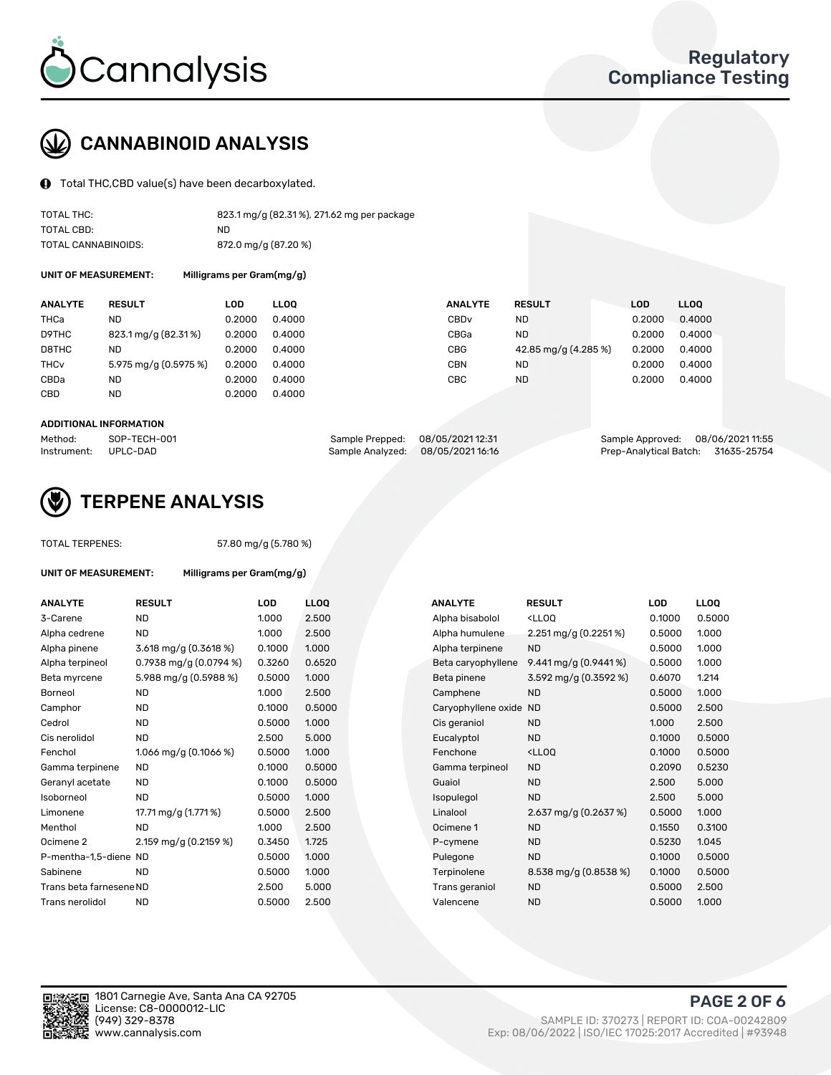

# CANNABINOID ANALYSIS

Total THC,CBD value(s) have been decarboxylated.

| TOTAL THC:          | 823.1 mg/g (82.31%), 271.62 mg per package |
|---------------------|--------------------------------------------|
| TOTAL CBD:          | ND                                         |
| TOTAL CANNABINOIDS: | 872.0 mg/g (87.20 %)                       |

UNIT OF MEASUREMENT: Milligrams per Gram(mg/g)

| <b>ANALYTE</b>         | <b>RESULT</b>         | LOD    | <b>LLOO</b> | <b>ANALYTE</b>   | <b>RESULT</b>        | <b>LOD</b> | <b>LLOO</b> |
|------------------------|-----------------------|--------|-------------|------------------|----------------------|------------|-------------|
| THCa                   | ND                    | 0.2000 | 0.4000      | CBD <sub>v</sub> | ND.                  | 0.2000     | 0.4000      |
| D9THC                  | 823.1 mg/g (82.31%)   | 0.2000 | 0.4000      | CBGa             | ND.                  | 0.2000     | 0.4000      |
| D8THC                  | ND                    | 0.2000 | 0.4000      | CBG              | 42.85 mg/g (4.285 %) | 0.2000     | 0.4000      |
| <b>THC<sub>v</sub></b> | 5.975 mg/g (0.5975 %) | 0.2000 | 0.4000      | CBN              | <b>ND</b>            | 0.2000     | 0.4000      |
| CBDa                   | ND                    | 0.2000 | 0.4000      | CBC              | <b>ND</b>            | 0.2000     | 0.4000      |
| CBD                    | <b>ND</b>             | 0.2000 | 0.4000      |                  |                      |            |             |
|                        |                       |        |             |                  |                      |            |             |

#### ADDITIONAL INFORMATION

| Method:              | SOP-TECH-001 | Sample Prepped: 08/05/2021 12:31 | Sample Approved: 08/06/2021 11:55  |  |
|----------------------|--------------|----------------------------------|------------------------------------|--|
| Instrument: UPLC-DAD |              | Sample Analyzed: 08/05/202116:16 | Prep-Analytical Batch: 31635-25754 |  |



## TERPENE ANALYSIS

| <b>TOTAL TERPENES:</b>      |                         | 57.80 mg/g (5.780 %)      |                 |  |  |  |  |  |
|-----------------------------|-------------------------|---------------------------|-----------------|--|--|--|--|--|
| <b>UNIT OF MEASUREMENT:</b> |                         | Milligrams per Gram(mg/g) |                 |  |  |  |  |  |
| <b>ANALYTE</b>              | <b>RESULT</b>           | LOD                       | LL <sub>C</sub> |  |  |  |  |  |
| 3-Carene                    | <b>ND</b>               | 1.000                     | 2.5             |  |  |  |  |  |
| Alpha cedrene               | <b>ND</b>               | 1.000                     | 2.5             |  |  |  |  |  |
| Alpha pinene                | $3.618$ mg/g (0.3618 %) | 0.1000                    | 1.0(            |  |  |  |  |  |
| Alpha terpineol             | 0.7938 mg/g (0.0794 %)  | 0.3260                    | 0.6             |  |  |  |  |  |
| Beta myrcene                | 5.988 mg/g (0.5988 %)   | 0.5000                    | 1.0(            |  |  |  |  |  |
| Borneol                     | ND.                     | 1.000                     | 2.5             |  |  |  |  |  |
| Camphor                     | <b>ND</b>               | 0.1000                    | 0.5             |  |  |  |  |  |
| Cedrol                      | <b>ND</b>               | 0.5000                    | 1.0(            |  |  |  |  |  |
| Cis nerolidol               | <b>ND</b>               | 2.500                     | 5.0             |  |  |  |  |  |
| Fenchol                     | 1.066 mg/g $(0.1066\%)$ | 0.5000                    | 1.0(            |  |  |  |  |  |
| Gamma terpinene             | <b>ND</b>               | 0.1000                    | 0.5             |  |  |  |  |  |
| Geranyl acetate             | <b>ND</b>               | 0.1000                    | 0.5             |  |  |  |  |  |
| Isoborneol                  | <b>ND</b>               | 0.5000                    | 1.0(            |  |  |  |  |  |
| Limonene                    | 17.71 mg/g (1.771 %)    | 0.5000                    | 2.5             |  |  |  |  |  |
| Menthol                     | <b>ND</b>               | 1.000                     | 2.5             |  |  |  |  |  |
| Ocimene <sub>2</sub>        | 2.159 mg/g (0.2159 %)   | 0.3450                    | 1.72            |  |  |  |  |  |
| P-mentha-1,5-diene ND       |                         | 0.5000                    | 1.0(            |  |  |  |  |  |
| Sabinene                    | <b>ND</b>               | 0.5000                    | 1.0(            |  |  |  |  |  |
| Trans beta farnesene ND     |                         | 2.500                     | 5.0             |  |  |  |  |  |
| Trans nerolidol             | <b>ND</b>               | 0.5000                    | 2.5             |  |  |  |  |  |
|                             |                         |                           |                 |  |  |  |  |  |

| <b>ANALYTE</b>          | <b>RESULT</b>                           | <b>LOD</b> | <b>LLOQ</b> | <b>ANALYTE</b>         | <b>RESULT</b>                                       | <b>LOD</b> | <b>LLOQ</b> |
|-------------------------|-----------------------------------------|------------|-------------|------------------------|-----------------------------------------------------|------------|-------------|
| 3-Carene                | <b>ND</b>                               | 1.000      | 2.500       | Alpha bisabolol        | <lloq< td=""><td>0.1000</td><td>0.5000</td></lloq<> | 0.1000     | 0.5000      |
| Alpha cedrene           | <b>ND</b>                               | 1.000      | 2.500       | Alpha humulene         | 2.251 mg/g $(0.2251\%)$                             | 0.5000     | 1.000       |
| Alpha pinene            | $3.618 \text{ mg/g} (0.3618 \text{ %})$ | 0.1000     | 1.000       | Alpha terpinene        | <b>ND</b>                                           | 0.5000     | 1.000       |
| Alpha terpineol         | 0.7938 mg/g $(0.0794\%)$                | 0.3260     | 0.6520      | Beta caryophyllene     | 9.441 mg/g $(0.9441\%)$                             | 0.5000     | 1.000       |
| Beta myrcene            | 5.988 mg/g (0.5988 %)                   | 0.5000     | 1.000       | Beta pinene            | 3.592 mg/g (0.3592 %)                               | 0.6070     | 1.214       |
| Borneol                 | <b>ND</b>                               | 1.000      | 2.500       | Camphene               | <b>ND</b>                                           | 0.5000     | 1.000       |
| Camphor                 | <b>ND</b>                               | 0.1000     | 0.5000      | Caryophyllene oxide ND |                                                     | 0.5000     | 2.500       |
| Cedrol                  | <b>ND</b>                               | 0.5000     | 1.000       | Cis geraniol           | <b>ND</b>                                           | 1.000      | 2.500       |
| Cis nerolidol           | <b>ND</b>                               | 2.500      | 5.000       | Eucalyptol             | <b>ND</b>                                           | 0.1000     | 0.5000      |
| Fenchol                 | 1.066 mg/g $(0.1066\%)$                 | 0.5000     | 1.000       | Fenchone               | <lloq< td=""><td>0.1000</td><td>0.5000</td></lloq<> | 0.1000     | 0.5000      |
| Gamma terpinene         | <b>ND</b>                               | 0.1000     | 0.5000      | Gamma terpineol        | <b>ND</b>                                           | 0.2090     | 0.5230      |
| Geranyl acetate         | ND.                                     | 0.1000     | 0.5000      | Guaiol                 | <b>ND</b>                                           | 2.500      | 5.000       |
| Isoborneol              | ND                                      | 0.5000     | 1.000       | Isopulegol             | <b>ND</b>                                           | 2.500      | 5.000       |
| Limonene                | 17.71 mg/g (1.771 %)                    | 0.5000     | 2.500       | Linalool               | 2.637 mg/g $(0.2637%)$                              | 0.5000     | 1.000       |
| Menthol                 | <b>ND</b>                               | 1.000      | 2.500       | Ocimene 1              | <b>ND</b>                                           | 0.1550     | 0.3100      |
| Ocimene 2               | 2.159 mg/g (0.2159 %)                   | 0.3450     | 1.725       | P-cymene               | <b>ND</b>                                           | 0.5230     | 1.045       |
| P-mentha-1,5-diene ND   |                                         | 0.5000     | 1.000       | Pulegone               | <b>ND</b>                                           | 0.1000     | 0.5000      |
| Sabinene                | <b>ND</b>                               | 0.5000     | 1.000       | Terpinolene            | 8.538 mg/g $(0.8538\%)$                             | 0.1000     | 0.5000      |
| Trans beta farnesene ND |                                         | 2.500      | 5.000       | Trans geraniol         | <b>ND</b>                                           | 0.5000     | 2.500       |
| Trans nerolidol         | <b>ND</b>                               | 0.5000     | 2.500       | Valencene              | <b>ND</b>                                           | 0.5000     | 1.000       |
|                         |                                         |            |             |                        |                                                     |            |             |



PAGE 2 OF 6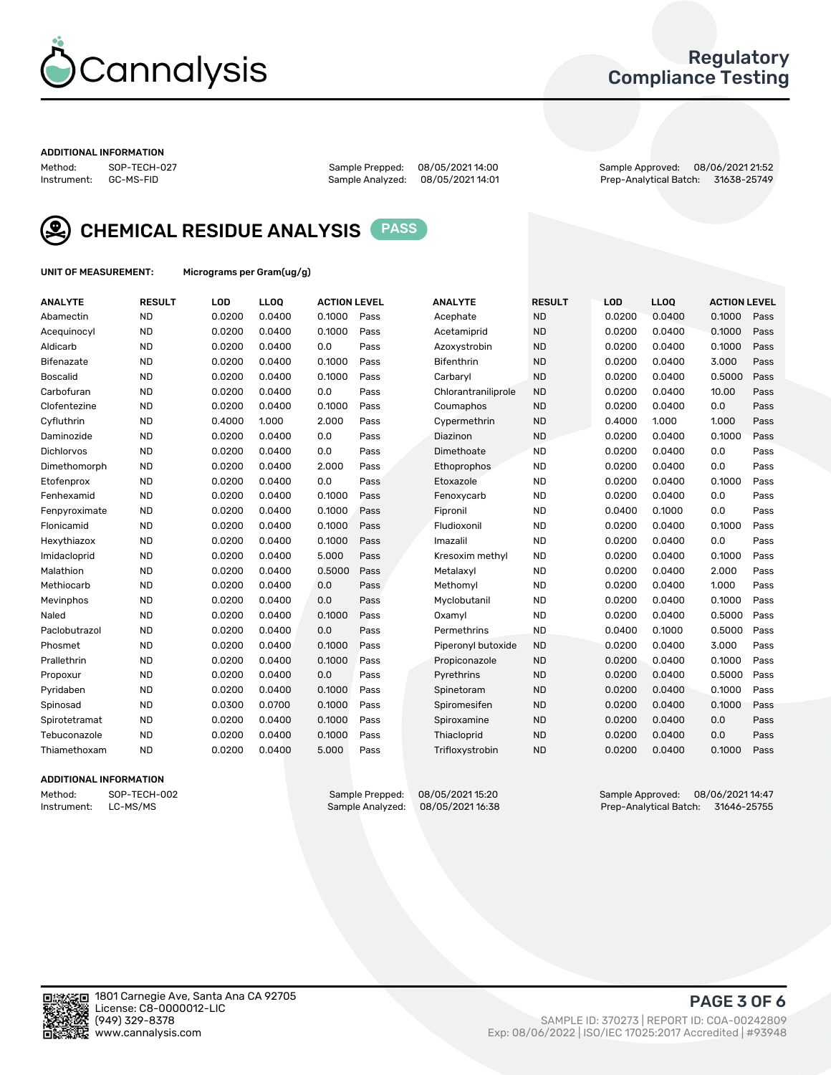

## Regulatory Compliance Testing

#### ADDITIONAL INFORMATION

| Method:     | SOP-TECH-02 |
|-------------|-------------|
| Instrument: | GC-MS-FID   |

Sample Analyzed: 08/05/2021 14:01

Method: SOP-TECH-027 Sample Prepped: 08/05/2021 14:00 Sample Approved: 08/06/2021 21:52



CHEMICAL RESIDUE ANALYSIS PASS

UNIT OF MEASUREMENT: Micrograms per Gram(ug/g)

| <b>ANALYTE</b>    | <b>RESULT</b> | LOD    | <b>LLOQ</b> | <b>ACTION LEVEL</b> |      | <b>ANALYTE</b>      | <b>RESULT</b> | <b>LOD</b> | <b>LLOQ</b> | <b>ACTION LEVEL</b> |      |
|-------------------|---------------|--------|-------------|---------------------|------|---------------------|---------------|------------|-------------|---------------------|------|
| Abamectin         | <b>ND</b>     | 0.0200 | 0.0400      | 0.1000              | Pass | Acephate            | <b>ND</b>     | 0.0200     | 0.0400      | 0.1000              | Pass |
| Acequinocyl       | <b>ND</b>     | 0.0200 | 0.0400      | 0.1000              | Pass | Acetamiprid         | <b>ND</b>     | 0.0200     | 0.0400      | 0.1000              | Pass |
| Aldicarb          | <b>ND</b>     | 0.0200 | 0.0400      | 0.0                 | Pass | Azoxystrobin        | <b>ND</b>     | 0.0200     | 0.0400      | 0.1000              | Pass |
| Bifenazate        | <b>ND</b>     | 0.0200 | 0.0400      | 0.1000              | Pass | <b>Bifenthrin</b>   | <b>ND</b>     | 0.0200     | 0.0400      | 3.000               | Pass |
| <b>Boscalid</b>   | <b>ND</b>     | 0.0200 | 0.0400      | 0.1000              | Pass | Carbaryl            | <b>ND</b>     | 0.0200     | 0.0400      | 0.5000              | Pass |
| Carbofuran        | <b>ND</b>     | 0.0200 | 0.0400      | 0.0                 | Pass | Chlorantraniliprole | <b>ND</b>     | 0.0200     | 0.0400      | 10.00               | Pass |
| Clofentezine      | <b>ND</b>     | 0.0200 | 0.0400      | 0.1000              | Pass | Coumaphos           | <b>ND</b>     | 0.0200     | 0.0400      | 0.0                 | Pass |
| Cyfluthrin        | <b>ND</b>     | 0.4000 | 1.000       | 2.000               | Pass | Cypermethrin        | <b>ND</b>     | 0.4000     | 1.000       | 1.000               | Pass |
| Daminozide        | <b>ND</b>     | 0.0200 | 0.0400      | 0.0                 | Pass | Diazinon            | <b>ND</b>     | 0.0200     | 0.0400      | 0.1000              | Pass |
| <b>Dichlorvos</b> | <b>ND</b>     | 0.0200 | 0.0400      | 0.0                 | Pass | Dimethoate          | <b>ND</b>     | 0.0200     | 0.0400      | 0.0                 | Pass |
| Dimethomorph      | <b>ND</b>     | 0.0200 | 0.0400      | 2.000               | Pass | <b>Ethoprophos</b>  | <b>ND</b>     | 0.0200     | 0.0400      | 0.0                 | Pass |
| Etofenprox        | <b>ND</b>     | 0.0200 | 0.0400      | 0.0                 | Pass | Etoxazole           | <b>ND</b>     | 0.0200     | 0.0400      | 0.1000              | Pass |
| Fenhexamid        | <b>ND</b>     | 0.0200 | 0.0400      | 0.1000              | Pass | Fenoxycarb          | <b>ND</b>     | 0.0200     | 0.0400      | 0.0                 | Pass |
| Fenpyroximate     | <b>ND</b>     | 0.0200 | 0.0400      | 0.1000              | Pass | Fipronil            | <b>ND</b>     | 0.0400     | 0.1000      | 0.0                 | Pass |
| Flonicamid        | <b>ND</b>     | 0.0200 | 0.0400      | 0.1000              | Pass | Fludioxonil         | <b>ND</b>     | 0.0200     | 0.0400      | 0.1000              | Pass |
| Hexythiazox       | <b>ND</b>     | 0.0200 | 0.0400      | 0.1000              | Pass | Imazalil            | <b>ND</b>     | 0.0200     | 0.0400      | 0.0                 | Pass |
| Imidacloprid      | <b>ND</b>     | 0.0200 | 0.0400      | 5.000               | Pass | Kresoxim methyl     | <b>ND</b>     | 0.0200     | 0.0400      | 0.1000              | Pass |
| Malathion         | <b>ND</b>     | 0.0200 | 0.0400      | 0.5000              | Pass | Metalaxyl           | <b>ND</b>     | 0.0200     | 0.0400      | 2.000               | Pass |
| Methiocarb        | <b>ND</b>     | 0.0200 | 0.0400      | 0.0                 | Pass | Methomyl            | <b>ND</b>     | 0.0200     | 0.0400      | 1.000               | Pass |
| Mevinphos         | <b>ND</b>     | 0.0200 | 0.0400      | 0.0                 | Pass | Myclobutanil        | <b>ND</b>     | 0.0200     | 0.0400      | 0.1000              | Pass |
| Naled             | <b>ND</b>     | 0.0200 | 0.0400      | 0.1000              | Pass | Oxamyl              | <b>ND</b>     | 0.0200     | 0.0400      | 0.5000              | Pass |
| Paclobutrazol     | <b>ND</b>     | 0.0200 | 0.0400      | 0.0                 | Pass | Permethrins         | <b>ND</b>     | 0.0400     | 0.1000      | 0.5000              | Pass |
| Phosmet           | <b>ND</b>     | 0.0200 | 0.0400      | 0.1000              | Pass | Piperonyl butoxide  | <b>ND</b>     | 0.0200     | 0.0400      | 3.000               | Pass |
| Prallethrin       | <b>ND</b>     | 0.0200 | 0.0400      | 0.1000              | Pass | Propiconazole       | <b>ND</b>     | 0.0200     | 0.0400      | 0.1000              | Pass |
| Propoxur          | <b>ND</b>     | 0.0200 | 0.0400      | 0.0                 | Pass | Pyrethrins          | <b>ND</b>     | 0.0200     | 0.0400      | 0.5000              | Pass |
| Pyridaben         | <b>ND</b>     | 0.0200 | 0.0400      | 0.1000              | Pass | Spinetoram          | <b>ND</b>     | 0.0200     | 0.0400      | 0.1000              | Pass |
| Spinosad          | <b>ND</b>     | 0.0300 | 0.0700      | 0.1000              | Pass | Spiromesifen        | <b>ND</b>     | 0.0200     | 0.0400      | 0.1000              | Pass |
| Spirotetramat     | <b>ND</b>     | 0.0200 | 0.0400      | 0.1000              | Pass | Spiroxamine         | <b>ND</b>     | 0.0200     | 0.0400      | 0.0                 | Pass |
| Tebuconazole      | <b>ND</b>     | 0.0200 | 0.0400      | 0.1000              | Pass | Thiacloprid         | <b>ND</b>     | 0.0200     | 0.0400      | 0.0                 | Pass |
| Thiamethoxam      | <b>ND</b>     | 0.0200 | 0.0400      | 5.000               | Pass | Trifloxystrobin     | <b>ND</b>     | 0.0200     | 0.0400      | 0.1000              | Pass |

### ADDITIONAL INFORMATION

Method: SOP-TECH-002 Sample Prepped: 08/05/202115:20 Sample Approved: 08/06/202114:47<br>Sample Analyzed: 08/05/202116:38 Prep-Analytical Batch: 31646-25755 Prep-Analytical Batch: 31646-25755

PAGE 3 OF 6

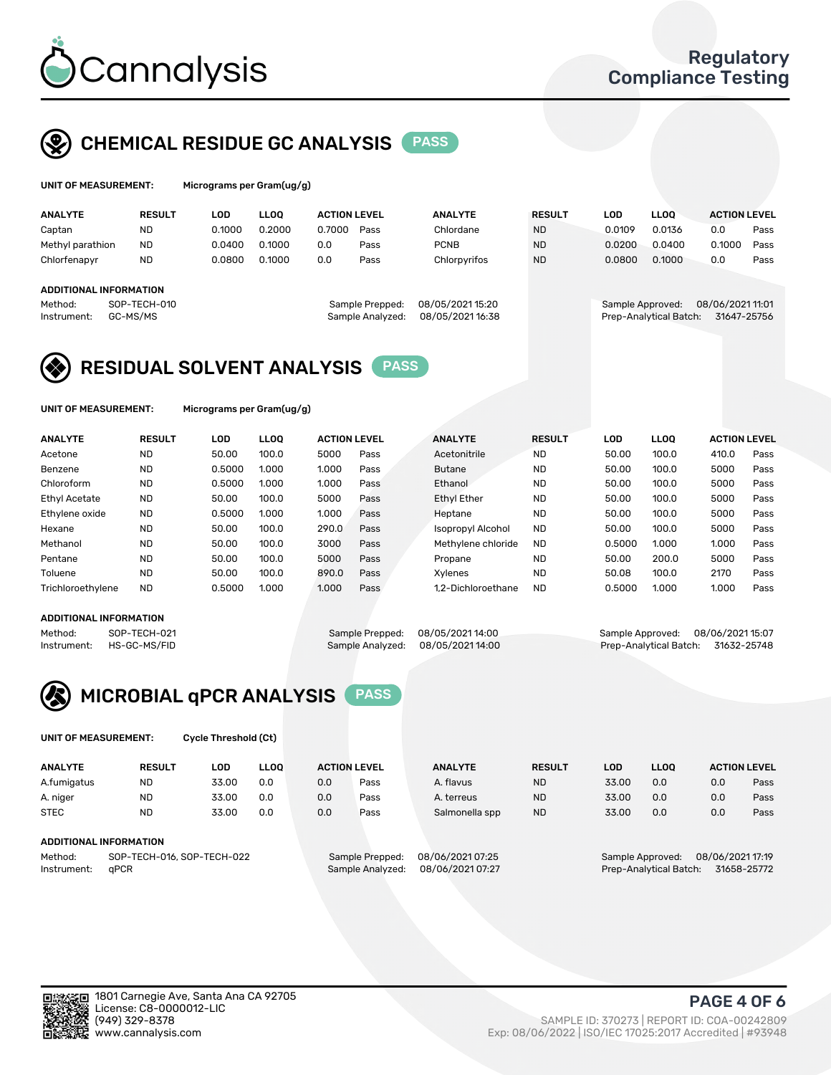

# CHEMICAL RESIDUE GC ANALYSIS PASS

| UNIT OF MEASUREMENT: |  |  | M |
|----------------------|--|--|---|
|----------------------|--|--|---|

licrograms per Gram(ug/g)

| <b>ANALYTE</b>                                   | <b>RESULT</b>            | LOD    | <b>LLOO</b> | <b>ACTION LEVEL</b> |                                     | <b>ANALYTE</b>                      | <b>RESULT</b> | LOD              | <b>LLOO</b>            | <b>ACTION LEVEL</b>             |      |
|--------------------------------------------------|--------------------------|--------|-------------|---------------------|-------------------------------------|-------------------------------------|---------------|------------------|------------------------|---------------------------------|------|
| Captan                                           | <b>ND</b>                | 0.1000 | 0.2000      | 0.7000              | Pass                                | Chlordane                           | <b>ND</b>     | 0.0109           | 0.0136                 | 0.0                             | Pass |
| Methyl parathion                                 | <b>ND</b>                | 0.0400 | 0.1000      | 0.0                 | Pass                                | <b>PCNB</b>                         | <b>ND</b>     | 0.0200           | 0.0400                 | 0.1000                          | Pass |
| Chlorfenapyr                                     | <b>ND</b>                | 0.0800 | 0.1000      | 0.0                 | Pass                                | Chlorpyrifos                        | <b>ND</b>     | 0.0800           | 0.1000                 | 0.0                             | Pass |
| ADDITIONAL INFORMATION<br>Method:<br>Instrument: | SOP-TECH-010<br>GC-MS/MS |        |             |                     | Sample Prepped:<br>Sample Analyzed: | 08/05/202115:20<br>08/05/2021 16:38 |               | Sample Approved: | Prep-Analytical Batch: | 08/06/2021 11:01<br>31647-25756 |      |

## RESIDUAL SOLVENT ANALYSIS PASS

UNIT OF MEASUREMENT: Micrograms per Gram(ug/g)

| <b>ANALYTE</b>       | <b>RESULT</b> | <b>LOD</b> | <b>LLOO</b> | <b>ACTION LEVEL</b> |      | <b>ANALYTE</b>           | <b>RESULT</b> | <b>LOD</b> | <b>LLOO</b> | <b>ACTION LEVEL</b> |      |
|----------------------|---------------|------------|-------------|---------------------|------|--------------------------|---------------|------------|-------------|---------------------|------|
| Acetone              | <b>ND</b>     | 50.00      | 100.0       | 5000                | Pass | Acetonitrile             | <b>ND</b>     | 50.00      | 100.0       | 410.0               | Pass |
| Benzene              | <b>ND</b>     | 0.5000     | 1.000       | 1.000               | Pass | <b>Butane</b>            | <b>ND</b>     | 50.00      | 100.0       | 5000                | Pass |
| Chloroform           | <b>ND</b>     | 0.5000     | 1.000       | 1.000               | Pass | Ethanol                  | <b>ND</b>     | 50.00      | 100.0       | 5000                | Pass |
| <b>Ethyl Acetate</b> | <b>ND</b>     | 50.00      | 100.0       | 5000                | Pass | <b>Ethyl Ether</b>       | <b>ND</b>     | 50.00      | 100.0       | 5000                | Pass |
| Ethylene oxide       | <b>ND</b>     | 0.5000     | 1.000       | 1.000               | Pass | Heptane                  | <b>ND</b>     | 50.00      | 100.0       | 5000                | Pass |
| Hexane               | <b>ND</b>     | 50.00      | 100.0       | 290.0               | Pass | <b>Isopropyl Alcohol</b> | <b>ND</b>     | 50.00      | 100.0       | 5000                | Pass |
| Methanol             | <b>ND</b>     | 50.00      | 100.0       | 3000                | Pass | Methylene chloride       | <b>ND</b>     | 0.5000     | 1.000       | 1.000               | Pass |
| Pentane              | <b>ND</b>     | 50.00      | 100.0       | 5000                | Pass | Propane                  | <b>ND</b>     | 50.00      | 200.0       | 5000                | Pass |
| Toluene              | <b>ND</b>     | 50.00      | 100.0       | 890.0               | Pass | Xvlenes                  | <b>ND</b>     | 50.08      | 100.0       | 2170                | Pass |
| Trichloroethylene    | <b>ND</b>     | 0.5000     | 1.000       | 1.000               | Pass | 1.2-Dichloroethane       | <b>ND</b>     | 0.5000     | 1.000       | 1.000               | Pass |

### ADDITIONAL INFORMATION

Method: SOP-TECH-021 Sample Prepped: 08/05/202114:00 Sample Approved: 08/06/202115:07<br>Sample Analyzed: 08/05/202114:00 Prep-Analytical Batch: 31632-25748 Prep-Analytical Batch: 31632-25748



UNIT OF MEASUREMENT: Cycle Threshold (Ct)

| <b>ANALYTE</b> | <b>RESULT</b>              | LOD   | <b>LLOO</b> |     | <b>ACTION LEVEL</b> | <b>ANALYTE</b>   | <b>RESULT</b> | LOD   | LL <sub>00</sub> |                  | <b>ACTION LEVEL</b> |
|----------------|----------------------------|-------|-------------|-----|---------------------|------------------|---------------|-------|------------------|------------------|---------------------|
| A.fumigatus    | <b>ND</b>                  | 33.00 | 0.0         | 0.0 | Pass                | A. flavus        | <b>ND</b>     | 33.00 | 0.0              | 0.0              | Pass                |
| A. niger       | <b>ND</b>                  | 33.00 | 0.0         | 0.0 | Pass                | A. terreus       | <b>ND</b>     | 33.00 | 0.0              | 0.0              | Pass                |
| <b>STEC</b>    | <b>ND</b>                  | 33.00 | 0.0         | 0.0 | Pass                | Salmonella spp   | <b>ND</b>     | 33.00 | 0.0              | 0.0              | Pass                |
|                | ADDITIONAL INFORMATION     |       |             |     |                     |                  |               |       |                  |                  |                     |
| Method:        | SOP-TECH-016, SOP-TECH-022 |       |             |     | Sample Prepped:     | 08/06/2021 07:25 |               |       | Sample Approved: | 08/06/2021 17:19 |                     |

Instrument: qPCR Sample Analyzed: 08/06/2021 07:27 Prep-Analytical Batch: 31658-25772

PAGE 4 OF 6

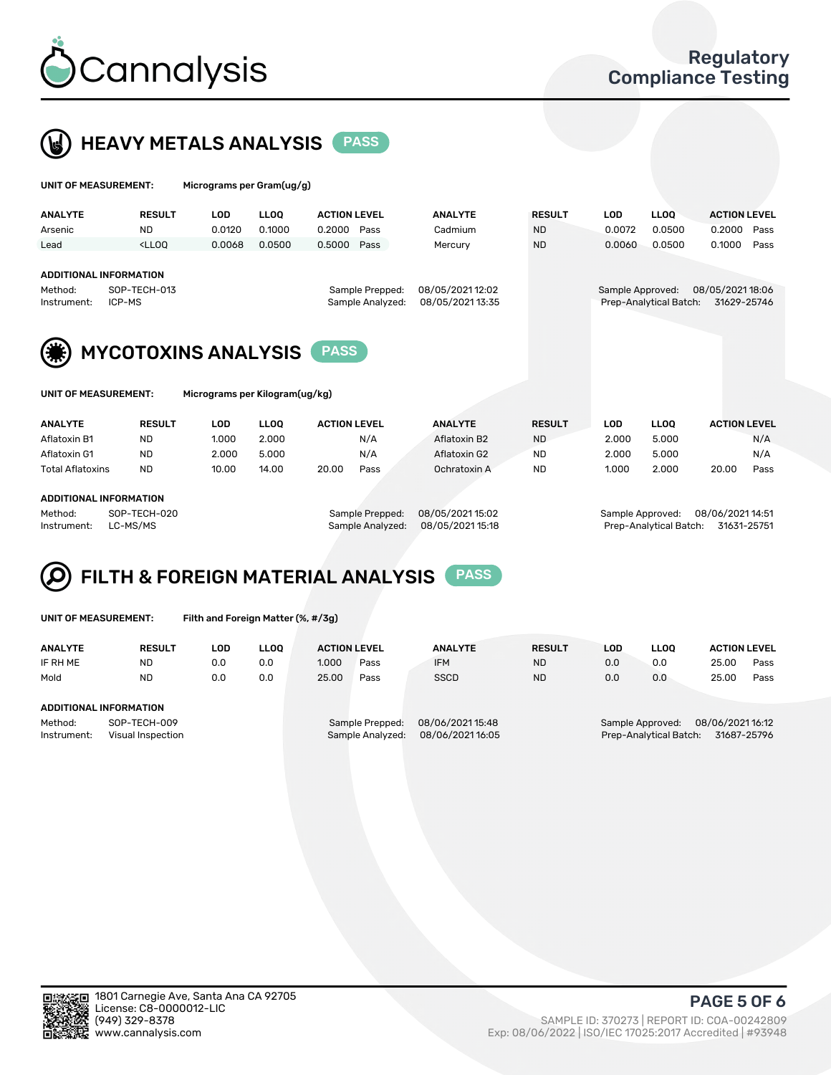



| UNIT OF MEASUREMENT:                                                                                                                                                                                                   |                                                                                                                                                                                      | Micrograms per Gram(ug/g) |        |                                                                             |      |                |                                                                               |               |                     |                   |                     |      |
|------------------------------------------------------------------------------------------------------------------------------------------------------------------------------------------------------------------------|--------------------------------------------------------------------------------------------------------------------------------------------------------------------------------------|---------------------------|--------|-----------------------------------------------------------------------------|------|----------------|-------------------------------------------------------------------------------|---------------|---------------------|-------------------|---------------------|------|
| <b>ANALYTE</b>                                                                                                                                                                                                         | <b>RESULT</b>                                                                                                                                                                        | <b>LOD</b>                | LLOO   | <b>ACTION LEVEL</b>                                                         |      | <b>ANALYTE</b> |                                                                               | <b>RESULT</b> |                     | LLOO <sup>1</sup> | <b>ACTION LEVEL</b> |      |
| Arsenic                                                                                                                                                                                                                | <b>ND</b>                                                                                                                                                                            | 0.0120                    | 0.1000 | 0.2000                                                                      | Pass | Cadmium        | <b>ND</b>                                                                     |               | 0.0072              | 0.0500            | 0.2000              | Pass |
| Lead                                                                                                                                                                                                                   | <lloq< td=""><td>0.0068</td><td>0.0500</td><td>0.5000</td><td>Pass</td><td>Mercury</td><td><b>ND</b></td><td></td><td>0.0060</td><td>0.0500</td><td>0.1000</td><td>Pass</td></lloq<> | 0.0068                    | 0.0500 | 0.5000                                                                      | Pass | Mercury        | <b>ND</b>                                                                     |               | 0.0060              | 0.0500            | 0.1000              | Pass |
| <b>ADDITIONAL INFORMATION</b><br>Method:<br>Instrument:                                                                                                                                                                | SOP-TECH-013<br>ICP-MS                                                                                                                                                               |                           |        | 08/05/2021 12:02<br>Sample Prepped:<br>08/05/2021 13:35<br>Sample Analyzed: |      |                | 08/05/2021 18:06<br>Sample Approved:<br>Prep-Analytical Batch:<br>31629-25746 |               |                     |                   |                     |      |
| <b>MYCOTOXINS ANALYSIS</b><br><b>PASS</b><br>Micrograms per Kilogram(ug/kg)<br>UNIT OF MEASUREMENT:<br><b>ANALYTE</b><br><b>RESULT</b><br>LLOO<br><b>ACTION LEVEL</b><br><b>ANALYTE</b><br><b>RESULT</b><br><b>LOD</b> |                                                                                                                                                                                      |                           |        |                                                                             |      |                |                                                                               |               |                     | <b>LLOQ</b>       | <b>ACTION LEVEL</b> |      |
| Aflatoxin B1                                                                                                                                                                                                           | <b>ND</b>                                                                                                                                                                            | 1.000                     | 2.000  |                                                                             | N/A  | Aflatoxin B2   | <b>ND</b>                                                                     |               | <b>LOD</b><br>2.000 | 5.000             |                     | N/A  |
|                                                                                                                                                                                                                        |                                                                                                                                                                                      |                           |        |                                                                             |      |                |                                                                               |               |                     |                   |                     |      |
| Aflatoxin G1                                                                                                                                                                                                           | <b>ND</b>                                                                                                                                                                            | 2.000                     | 5.000  |                                                                             | N/A  | Aflatoxin G2   | <b>ND</b>                                                                     |               | 2.000               | 5.000             | N/A                 |      |

Total Aflatoxins ND 10.00 14.00 20.00 Pass Ochratoxin A ND 1.000 2.000 20.00 Pass

#### ADDITIONAL INFORMATION

Method: SOP-TECH-020 Sample Prepped: 08/05/2021 15:02 Sample Approved: 08/06/2021 14:51 Instrument: LC-MS/MS Sample Analyzed: 08/05/2021 15:18 Prep-Analytical Batch: 31631-25751



UNIT OF MEASUREMENT: Filth and Foreign Matter (%, #/3g)

| <b>ANALYTE</b>                                              | <b>RESULT</b>          | LOD | <b>LLOO</b> | <b>ACTION LEVEL</b> |                                     | <b>ANALYTE</b>                       | <b>RESULT</b>                                                             | LOD | <b>LLOO</b> | <b>ACTION LEVEL</b> |      |
|-------------------------------------------------------------|------------------------|-----|-------------|---------------------|-------------------------------------|--------------------------------------|---------------------------------------------------------------------------|-----|-------------|---------------------|------|
| IF RH ME                                                    | <b>ND</b>              | 0.0 | 0.0         | 1.000               | Pass                                | <b>IFM</b>                           | <b>ND</b>                                                                 | 0.0 | 0.0         | 25.00               | Pass |
| Mold                                                        | <b>ND</b>              | 0.0 | 0.0         | 25.00               | Pass                                | <b>SSCD</b>                          | <b>ND</b>                                                                 | 0.0 | 0.0         | 25.00               | Pass |
|                                                             | ADDITIONAL INFORMATION |     |             |                     |                                     |                                      |                                                                           |     |             |                     |      |
| Method:<br>SOP-TECH-009<br>Instrument:<br>Visual Inspection |                        |     |             |                     | Sample Prepped:<br>Sample Analyzed: | 08/06/2021 15:48<br>08/06/2021 16:05 | 08/06/202116:12<br>Sample Approved:<br>Prep-Analytical Batch: 31687-25796 |     |             |                     |      |



PAGE 5 OF 6